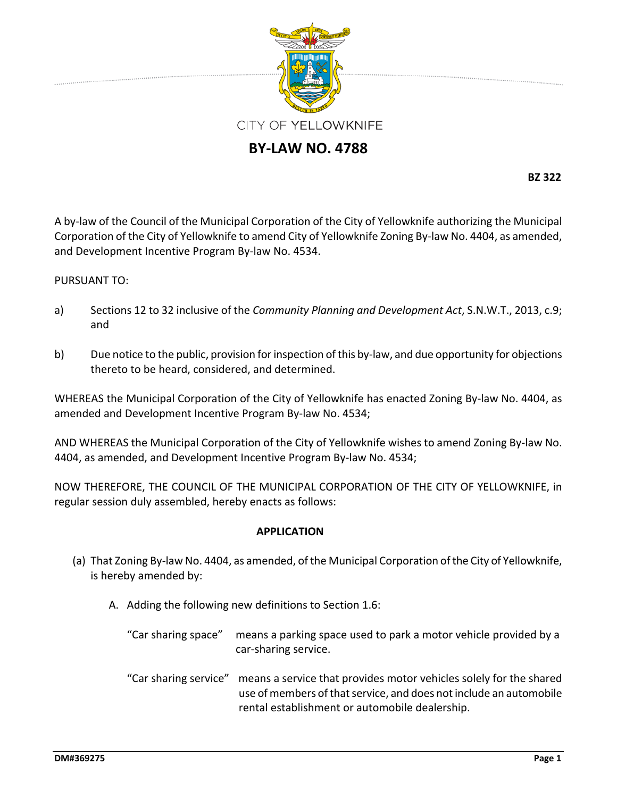

# **BY‐LAW NO. 4788**

**BZ 322**

A by‐law of the Council of the Municipal Corporation of the City of Yellowknife authorizing the Municipal Corporation of the City of Yellowknife to amend City of Yellowknife Zoning By‐law No. 4404, as amended, and Development Incentive Program By‐law No. 4534.

### PURSUANT TO:

- a) Sections 12 to 32 inclusive of the *Community Planning and Development Act*, S.N.W.T., 2013, c.9; and
- b) Due notice to the public, provision for inspection of this by-law, and due opportunity for objections thereto to be heard, considered, and determined.

WHEREAS the Municipal Corporation of the City of Yellowknife has enacted Zoning By‐law No. 4404, as amended and Development Incentive Program By‐law No. 4534;

AND WHEREAS the Municipal Corporation of the City of Yellowknife wishes to amend Zoning By‐law No. 4404, as amended, and Development Incentive Program By‐law No. 4534;

NOW THEREFORE, THE COUNCIL OF THE MUNICIPAL CORPORATION OF THE CITY OF YELLOWKNIFE, in regular session duly assembled, hereby enacts as follows:

### **APPLICATION**

- (a) That Zoning By‐law No. 4404, as amended, of the Municipal Corporation ofthe City of Yellowknife, is hereby amended by:
	- A. Adding the following new definitions to Section 1.6:
		- "Car sharing space" means a parking space used to park a motor vehicle provided by a car‐sharing service.
		- "Car sharing service" means a service that provides motor vehicles solely for the shared use of members of that service, and does not include an automobile rental establishment or automobile dealership.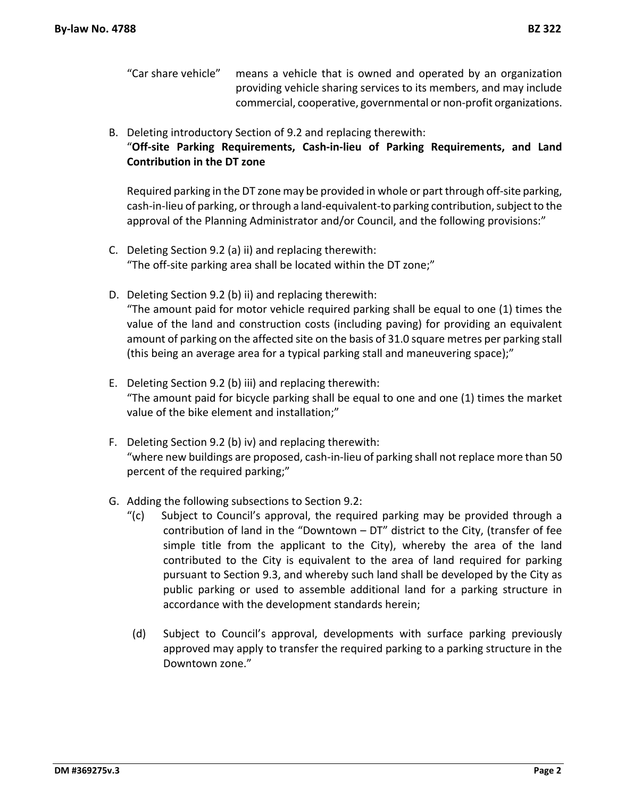- "Car share vehicle" means a vehicle that is owned and operated by an organization providing vehicle sharing services to its members, and may include commercial, cooperative, governmental or non‐profit organizations.
- B. Deleting introductory Section of 9.2 and replacing therewith: "**Off‐site Parking Requirements, Cash‐in‐lieu of Parking Requirements, and Land Contribution in the DT zone**

Required parking in the DT zone may be provided in whole or part through off‐site parking, cash‐in‐lieu of parking, orthrough a land‐equivalent‐to parking contribution,subjectto the approval of the Planning Administrator and/or Council, and the following provisions:"

- C. Deleting Section 9.2 (a) ii) and replacing therewith: "The off‐site parking area shall be located within the DT zone;"
- D. Deleting Section 9.2 (b) ii) and replacing therewith: "The amount paid for motor vehicle required parking shall be equal to one (1) times the value of the land and construction costs (including paving) for providing an equivalent amount of parking on the affected site on the basis of 31.0 square metres per parking stall (this being an average area for a typical parking stall and maneuvering space);"
- E. Deleting Section 9.2 (b) iii) and replacing therewith: "The amount paid for bicycle parking shall be equal to one and one (1) times the market value of the bike element and installation;"
- F. Deleting Section 9.2 (b) iv) and replacing therewith: "where new buildings are proposed, cash‐in‐lieu of parking shall not replace more than 50 percent of the required parking;"
- G. Adding the following subsections to Section 9.2:
	- "(c) Subject to Council's approval, the required parking may be provided through a contribution of land in the "Downtown – DT" district to the City, (transfer of fee simple title from the applicant to the City), whereby the area of the land contributed to the City is equivalent to the area of land required for parking pursuant to Section 9.3, and whereby such land shall be developed by the City as public parking or used to assemble additional land for a parking structure in accordance with the development standards herein;
	- (d) Subject to Council's approval, developments with surface parking previously approved may apply to transfer the required parking to a parking structure in the Downtown zone."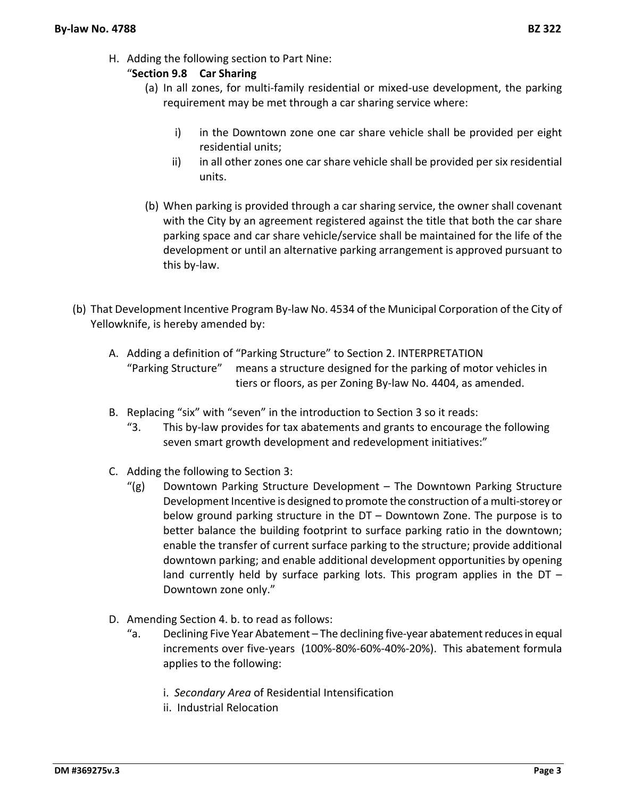H. Adding the following section to Part Nine:

## "**Section 9.8 Car Sharing**

- (a) In all zones, for multi‐family residential or mixed‐use development, the parking requirement may be met through a car sharing service where:
	- i) in the Downtown zone one car share vehicle shall be provided per eight residential units;
	- ii) in all other zones one car share vehicle shall be provided per six residential units.
- (b) When parking is provided through a car sharing service, the owner shall covenant with the City by an agreement registered against the title that both the car share parking space and car share vehicle/service shall be maintained for the life of the development or until an alternative parking arrangement is approved pursuant to this by‐law.
- (b) That Development Incentive Program By‐law No. 4534 of the Municipal Corporation of the City of Yellowknife, is hereby amended by:
	- A. Adding a definition of "Parking Structure" to Section 2. INTERPRETATION "Parking Structure" means a structure designed for the parking of motor vehicles in tiers or floors, as per Zoning By‐law No. 4404, as amended.
	- B. Replacing "six" with "seven" in the introduction to Section 3 so it reads:
		- "3. This by‐law provides for tax abatements and grants to encourage the following seven smart growth development and redevelopment initiatives:"
	- C. Adding the following to Section 3:
		- "(g) Downtown Parking Structure Development The Downtown Parking Structure Development Incentive is designed to promote the construction of a multi-storey or below ground parking structure in the DT – Downtown Zone. The purpose is to better balance the building footprint to surface parking ratio in the downtown; enable the transfer of current surface parking to the structure; provide additional downtown parking; and enable additional development opportunities by opening land currently held by surface parking lots. This program applies in the DT – Downtown zone only."
	- D. Amending Section 4. b. to read as follows:
		- "a. Declining Five Year Abatement The declining five-year abatement reduces in equal increments over five‐years (100%‐80%‐60%‐40%‐20%). This abatement formula applies to the following:
			- i. *Secondary Area* of Residential Intensification
			- ii. Industrial Relocation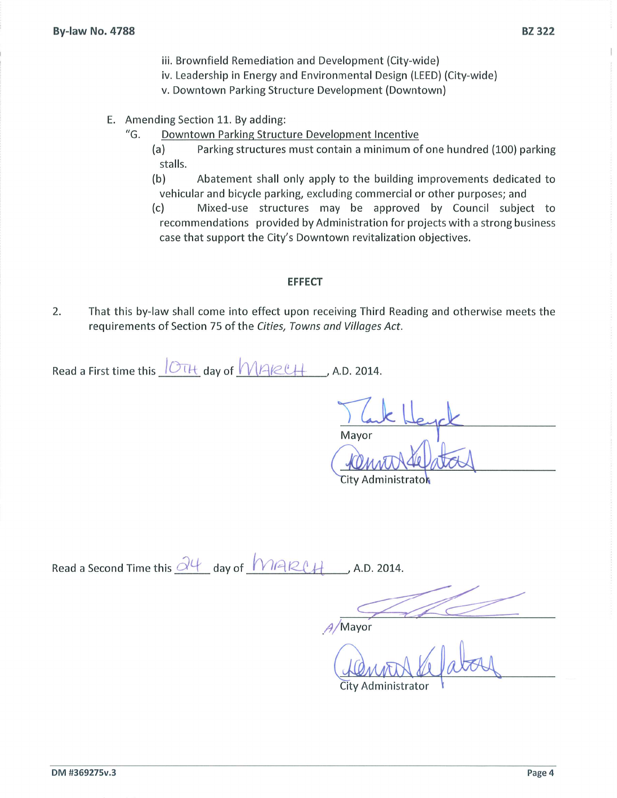- iii. Brownfield Remediation and Development (City-wide)
- iv. Leadership in Energy and Environmental Design (LEED) (City-wide)
- v. Downtown Parking Structure Development (Downtown)
- E. Amending Section 11. By adding:
	- $^{\prime\prime}$ G. Downtown Parking Structure Development Incentive
		- $(a)$ Parking structures must contain a minimum of one hundred (100) parking stalls.
		- $(b)$ Abatement shall only apply to the building improvements dedicated to vehicular and bicycle parking, excluding commercial or other purposes; and

 $(c)$ Mixed-use structures may be approved by Council subject to recommendations provided by Administration for projects with a strong business case that support the City's Downtown revitalization objectives.

#### **EFFECT**

2. That this by-law shall come into effect upon receiving Third Reading and otherwise meets the requirements of Section 75 of the Cities, Towns and Villages Act.

Read a First time this OTH day of MAKCH , A.D. 2014.

Mayor

City Administratok

Read a Second Time this 24 day of MARCH A.D. 2014.

Mayor

City Administrator